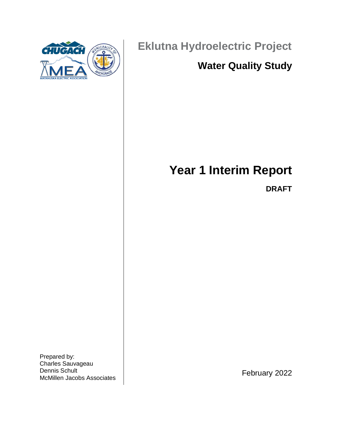

**Eklutna Hydroelectric Project**

**Water Quality Study**

# **Year 1 Interim Report**

**DRAFT**

Prepared by: Charles Sauvageau Dennis Schult McMillen Jacobs Associates

February 2022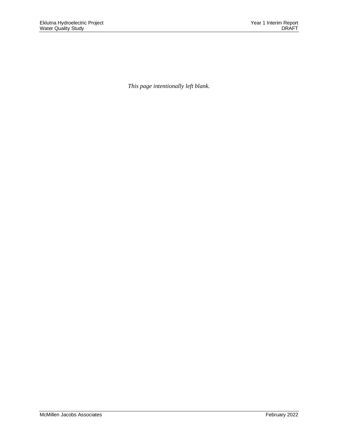*This page intentionally left blank.*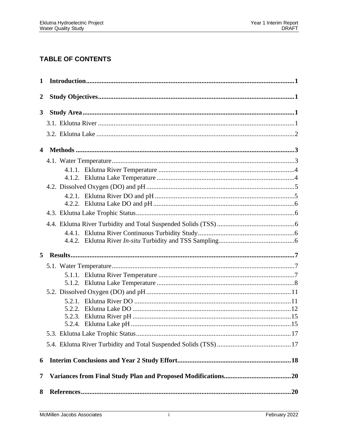## **TABLE OF CONTENTS**

| $\mathbf{1}$ |  |  |
|--------------|--|--|
| 2            |  |  |
| 3            |  |  |
|              |  |  |
|              |  |  |
|              |  |  |
|              |  |  |
|              |  |  |
|              |  |  |
|              |  |  |
|              |  |  |
|              |  |  |
|              |  |  |
| 5            |  |  |
|              |  |  |
|              |  |  |
|              |  |  |
|              |  |  |
|              |  |  |
|              |  |  |
| 6            |  |  |
| 7            |  |  |
| 8            |  |  |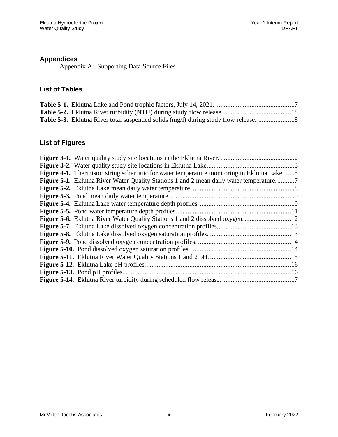## **Appendices**

Appendix A: Supporting Data Source Files

## **List of Tables**

| Table 5-3. Eklutna River total suspended solids (mg/l) during study flow release. 18 |  |
|--------------------------------------------------------------------------------------|--|

#### **List of Figures**

| <b>Figure 4-1.</b> Thermistor string schematic for water temperature monitoring in Eklutna Lake5 |  |
|--------------------------------------------------------------------------------------------------|--|
| <b>Figure 5-1.</b> Eklutna River Water Quality Stations 1 and 2 mean daily water temperature     |  |
|                                                                                                  |  |
|                                                                                                  |  |
|                                                                                                  |  |
|                                                                                                  |  |
|                                                                                                  |  |
|                                                                                                  |  |
|                                                                                                  |  |
|                                                                                                  |  |
|                                                                                                  |  |
|                                                                                                  |  |
|                                                                                                  |  |
|                                                                                                  |  |
|                                                                                                  |  |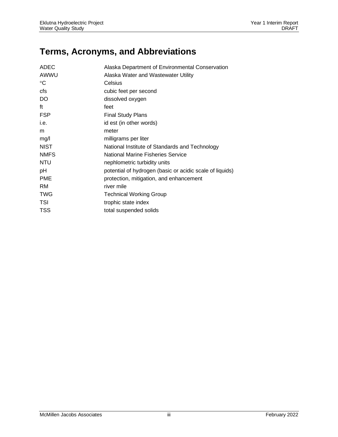## **Terms, Acronyms, and Abbreviations**

| <b>ADEC</b><br>AWWU | Alaska Department of Environmental Conservation          |
|---------------------|----------------------------------------------------------|
|                     | Alaska Water and Wastewater Utility                      |
| $\rm ^{\circ}C$     | Celsius                                                  |
| cfs                 | cubic feet per second                                    |
| DO                  | dissolved oxygen                                         |
| ft                  | feet                                                     |
| <b>FSP</b>          | <b>Final Study Plans</b>                                 |
| i.e.                | id est (in other words)                                  |
| m                   | meter                                                    |
| mg/l                | milligrams per liter                                     |
| <b>NIST</b>         | National Institute of Standards and Technology           |
| <b>NMFS</b>         | <b>National Marine Fisheries Service</b>                 |
| <b>NTU</b>          | nephlometric turbidity units                             |
| рH                  | potential of hydrogen (basic or acidic scale of liquids) |
| <b>PME</b>          | protection, mitigation, and enhancement                  |
| <b>RM</b>           | river mile                                               |
| <b>TWG</b>          | Technical Working Group                                  |
| TSI                 | trophic state index                                      |
| TSS                 | total suspended solids                                   |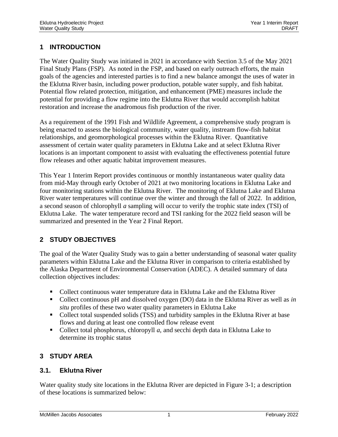## **1 INTRODUCTION**

The Water Quality Study was initiated in 2021 in accordance with Section 3.5 of the May 2021 Final Study Plans (FSP). As noted in the FSP, and based on early outreach efforts, the main goals of the agencies and interested parties is to find a new balance amongst the uses of water in the Eklutna River basin, including power production, potable water supply, and fish habitat. Potential flow related protection, mitigation, and enhancement (PME) measures include the potential for providing a flow regime into the Eklutna River that would accomplish habitat restoration and increase the anadromous fish production of the river.

As a requirement of the 1991 Fish and Wildlife Agreement, a comprehensive study program is being enacted to assess the biological community, water quality, instream flow-fish habitat relationships, and geomorphological processes within the Eklutna River. Quantitative assessment of certain water quality parameters in Eklutna Lake and at select Eklutna River locations is an important component to assist with evaluating the effectiveness potential future flow releases and other aquatic habitat improvement measures.

This Year 1 Interim Report provides continuous or monthly instantaneous water quality data from mid-May through early October of 2021 at two monitoring locations in Eklutna Lake and four monitoring stations within the Eklutna River. The monitoring of Eklutna Lake and Eklutna River water temperatures will continue over the winter and through the fall of 2022. In addition, a second season of chlorophyll *a* sampling will occur to verify the trophic state index (TSI) of Eklutna Lake. The water temperature record and TSI ranking for the 2022 field season will be summarized and presented in the Year 2 Final Report.

## **2 STUDY OBJECTIVES**

The goal of the Water Quality Study was to gain a better understanding of seasonal water quality parameters within Eklutna Lake and the Eklutna River in comparison to criteria established by the Alaska Department of Environmental Conservation (ADEC). A detailed summary of data collection objectives includes:

- Collect continuous water temperature data in Eklutna Lake and the Eklutna River
- Collect continuous pH and dissolved oxygen (DO) data in the Eklutna River as well as *in situ* profiles of these two water quality parameters in Eklutna Lake
- Collect total suspended solids (TSS) and turbidity samples in the Eklutna River at base flows and during at least one controlled flow release event
- Collect total phosphorus, chloropyll *a*, and secchi depth data in Eklutna Lake to determine its trophic status

## **3 STUDY AREA**

## **3.1. Eklutna River**

Water quality study site locations in the Eklutna River are depicted in Figure 3-1; a description of these locations is summarized below: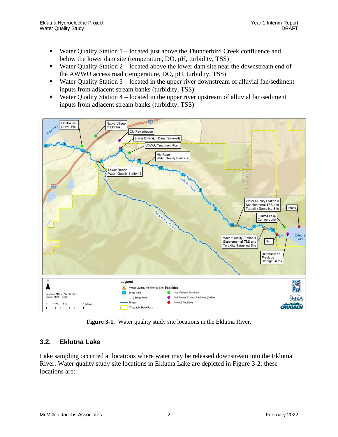- Water Quality Station 1 located just above the Thunderbird Creek confluence and below the lower dam site (temperature, DO, pH, turbidity, TSS)
- $\blacksquare$  Water Quality Station 2 located above the lower dam site near the downstream end of the AWWU access road (temperature, DO, pH, turbidity, TSS)
- Water Quality Station 3 located in the upper river downstream of alluvial fan/sediment inputs from adjacent stream banks (turbidity, TSS)
- Water Quality Station 4 located in the upper river upstream of alluvial fan/sediment inputs from adjacent stream banks (turbidity, TSS)



**Figure 3-1.** Water quality study site locations in the Eklutna River.

#### **3.2. Eklutna Lake**

Lake sampling occurred at locations where water may be released downstream into the Eklutna River. Water quality study site locations in Eklutna Lake are depicted in Figure 3-2; these locations are: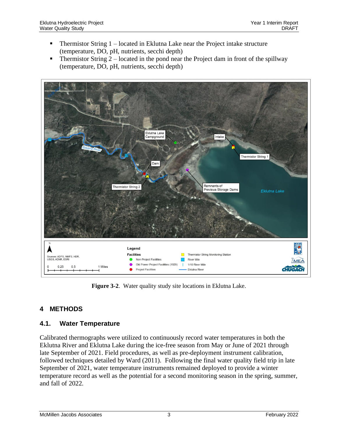- Thermistor String  $1$  located in Eklutna Lake near the Project intake structure (temperature, DO, pH, nutrients, secchi depth)
- **•** Thermistor String 2 located in the pond near the Project dam in front of the spillway (temperature, DO, pH, nutrients, secchi depth)



**Figure 3-2**. Water quality study site locations in Eklutna Lake.

## **4 METHODS**

#### **4.1. Water Temperature**

Calibrated thermographs were utilized to continuously record water temperatures in both the Eklutna River and Eklutna Lake during the ice-free season from May or June of 2021 through late September of 2021. Field procedures, as well as pre-deployment instrument calibration, followed techniques detailed by Ward (2011). Following the final water quality field trip in late September of 2021, water temperature instruments remained deployed to provide a winter temperature record as well as the potential for a second monitoring season in the spring, summer, and fall of 2022.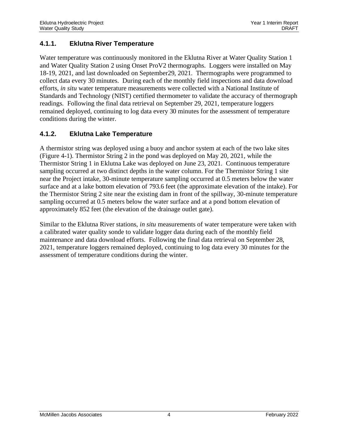## **4.1.1. Eklutna River Temperature**

Water temperature was continuously monitored in the Eklutna River at Water Quality Station 1 and Water Quality Station 2 using Onset ProV2 thermographs. Loggers were installed on May 18-19, 2021, and last downloaded on September29, 2021. Thermographs were programmed to collect data every 30 minutes. During each of the monthly field inspections and data download efforts, *in situ* water temperature measurements were collected with a National Institute of Standards and Technology (NIST) certified thermometer to validate the accuracy of thermograph readings. Following the final data retrieval on September 29, 2021, temperature loggers remained deployed, continuing to log data every 30 minutes for the assessment of temperature conditions during the winter.

## **4.1.2. Eklutna Lake Temperature**

A thermistor string was deployed using a buoy and anchor system at each of the two lake sites (Figure 4-1). Thermistor String 2 in the pond was deployed on May 20, 2021, while the Thermistor String 1 in Eklutna Lake was deployed on June 23, 2021. Continuous temperature sampling occurred at two distinct depths in the water column. For the Thermistor String 1 site near the Project intake, 30-minute temperature sampling occurred at 0.5 meters below the water surface and at a lake bottom elevation of 793.6 feet (the approximate elevation of the intake). For the Thermistor String 2 site near the existing dam in front of the spillway, 30-minute temperature sampling occurred at 0.5 meters below the water surface and at a pond bottom elevation of approximately 852 feet (the elevation of the drainage outlet gate).

Similar to the Eklutna River stations, *in situ* measurements of water temperature were taken with a calibrated water quality sonde to validate logger data during each of the monthly field maintenance and data download efforts. Following the final data retrieval on September 28, 2021, temperature loggers remained deployed, continuing to log data every 30 minutes for the assessment of temperature conditions during the winter.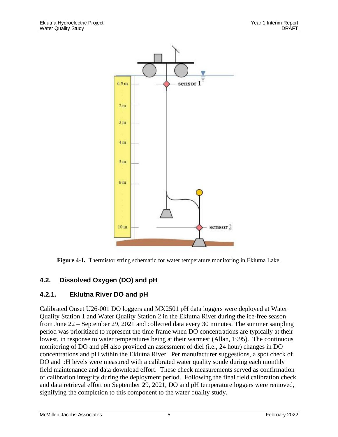



## **4.2. Dissolved Oxygen (DO) and pH**

## **4.2.1. Eklutna River DO and pH**

Calibrated Onset U26-001 DO loggers and MX2501 pH data loggers were deployed at Water Quality Station 1 and Water Quality Station 2 in the Eklutna River during the ice-free season from June 22 – September 29, 2021 and collected data every 30 minutes. The summer sampling period was prioritized to represent the time frame when DO concentrations are typically at their lowest, in response to water temperatures being at their warmest (Allan, 1995). The continuous monitoring of DO and pH also provided an assessment of diel (i.e., 24 hour) changes in DO concentrations and pH within the Eklutna River. Per manufacturer suggestions, a spot check of DO and pH levels were measured with a calibrated water quality sonde during each monthly field maintenance and data download effort. These check measurements served as confirmation of calibration integrity during the deployment period. Following the final field calibration check and data retrieval effort on September 29, 2021, DO and pH temperature loggers were removed, signifying the completion to this component to the water quality study.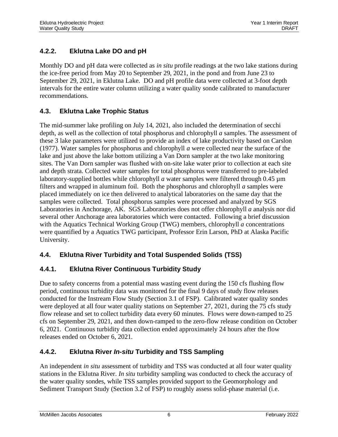## **4.2.2. Eklutna Lake DO and pH**

Monthly DO and pH data were collected as *in situ* profile readings at the two lake stations during the ice-free period from May 20 to September 29, 2021, in the pond and from June 23 to September 29, 2021, in Eklutna Lake. DO and pH profile data were collected at 3-foot depth intervals for the entire water column utilizing a water quality sonde calibrated to manufacturer recommendations.

## **4.3. Eklutna Lake Trophic Status**

The mid-summer lake profiling on July 14, 2021, also included the determination of secchi depth, as well as the collection of total phosphorus and chlorophyll *a* samples. The assessment of these 3 lake parameters were utilized to provide an index of lake productivity based on Carslon (1977). Water samples for phosphorus and chlorophyll *a* were collected near the surface of the lake and just above the lake bottom utilizing a Van Dorn sampler at the two lake monitoring sites. The Van Dorn sampler was flushed with on-site lake water prior to collection at each site and depth strata. Collected water samples for total phosphorus were transferred to pre-labeled laboratory-supplied bottles while chlorophyll *a* water samples were filtered through 0.45 µm filters and wrapped in aluminum foil. Both the phosphorus and chlorophyll *a* samples were placed immediately on ice then delivered to analytical laboratories on the same day that the samples were collected. Total phosphorus samples were processed and analyzed by SGS Laboratories in Anchorage, AK. SGS Laboratories does not offer chlorophyll *a* analysis nor did several other Anchorage area laboratories which were contacted. Following a brief discussion with the Aquatics Technical Working Group (TWG) members, chlorophyll *a* concentrations were quantified by a Aquatics TWG participant, Professor Erin Larson, PhD at Alaska Pacific University.

## **4.4. Eklutna River Turbidity and Total Suspended Solids (TSS)**

## **4.4.1. Eklutna River Continuous Turbidity Study**

Due to safety concerns from a potential mass wasting event during the 150 cfs flushing flow period, continuous turbidity data was monitored for the final 9 days of study flow releases conducted for the Instream Flow Study (Section 3.1 of FSP). Calibrated water quality sondes were deployed at all four water quality stations on September 27, 2021, during the 75 cfs study flow release and set to collect turbidity data every 60 minutes. Flows were down-ramped to 25 cfs on September 29, 2021, and then down-ramped to the zero-flow release condition on October 6, 2021. Continuous turbidity data collection ended approximately 24 hours after the flow releases ended on October 6, 2021.

## **4.4.2. Eklutna River** *In-situ* **Turbidity and TSS Sampling**

An independent *in situ* assessment of turbidity and TSS was conducted at all four water quality stations in the Eklutna River. *In situ* turbidity sampling was conducted to check the accuracy of the water quality sondes, while TSS samples provided support to the Geomorphology and Sediment Transport Study (Section 3.2 of FSP) to roughly assess solid-phase material (i.e.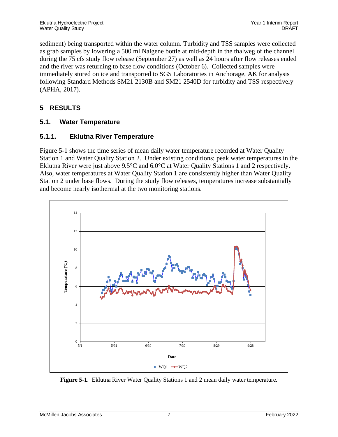sediment) being transported within the water column. Turbidity and TSS samples were collected as grab samples by lowering a 500 ml Nalgene bottle at mid-depth in the thalweg of the channel during the 75 cfs study flow release (September 27) as well as 24 hours after flow releases ended and the river was returning to base flow conditions (October 6). Collected samples were immediately stored on ice and transported to SGS Laboratories in Anchorage, AK for analysis following Standard Methods SM21 2130B and SM21 2540D for turbidity and TSS respectively (APHA, 2017).

## **5 RESULTS**

## **5.1. Water Temperature**

## **5.1.1. Eklutna River Temperature**

Figure 5-1 shows the time series of mean daily water temperature recorded at Water Quality Station 1 and Water Quality Station 2. Under existing conditions; peak water temperatures in the Eklutna River were just above 9.5°C and 6.0°C at Water Quality Stations 1 and 2 respectively. Also, water temperatures at Water Quality Station 1 are consistently higher than Water Quality Station 2 under base flows. During the study flow releases, temperatures increase substantially and become nearly isothermal at the two monitoring stations.



**Figure 5-1**. Eklutna River Water Quality Stations 1 and 2 mean daily water temperature.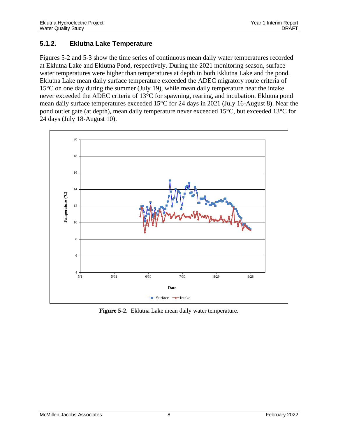#### **5.1.2. Eklutna Lake Temperature**

Figures 5-2 and 5-3 show the time series of continuous mean daily water temperatures recorded at Eklutna Lake and Eklutna Pond, respectively. During the 2021 monitoring season, surface water temperatures were higher than temperatures at depth in both Eklutna Lake and the pond. Eklutna Lake mean daily surface temperature exceeded the ADEC migratory route criteria of 15°C on one day during the summer (July 19), while mean daily temperature near the intake never exceeded the ADEC criteria of 13°C for spawning, rearing, and incubation. Eklutna pond mean daily surface temperatures exceeded 15°C for 24 days in 2021 (July 16-August 8). Near the pond outlet gate (at depth), mean daily temperature never exceeded 15°C, but exceeded 13°C for 24 days (July 18-August 10).



**Figure 5-2.** Eklutna Lake mean daily water temperature.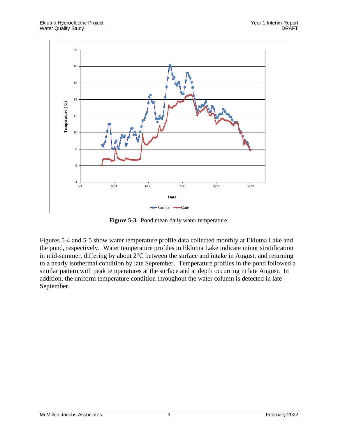

**Figure 5-3.** Pond mean daily water temperature.

Figures 5-4 and 5-5 show water temperature profile data collected monthly at Eklutna Lake and the pond, respectively. Water temperature profiles in Eklutna Lake indicate minor stratification in mid-summer, differing by about 2°C between the surface and intake in August, and returning to a nearly isothermal condition by late September. Temperature profiles in the pond followed a similar pattern with peak temperatures at the surface and at depth occurring in late August. In addition, the uniform temperature condition throughout the water column is detected in late September.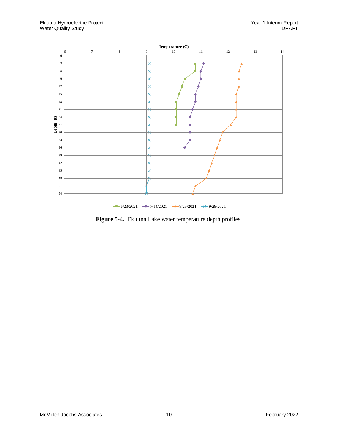

**Figure 5-4.** Eklutna Lake water temperature depth profiles.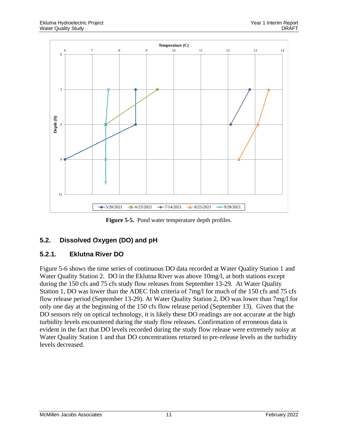

**Figure 5-5.** Pond water temperature depth profiles.

## **5.2. Dissolved Oxygen (DO) and pH**

#### **5.2.1. Eklutna River DO**

Figure 5-6 shows the time series of continuous DO data recorded at Water Quality Station 1 and Water Quality Station 2. DO in the Eklutna River was above 10mg/l, at both stations except during the 150 cfs and 75 cfs study flow releases from September 13-29. At Water Quality Station 1, DO was lower than the ADEC fish criteria of 7mg/l for much of the 150 cfs and 75 cfs flow release period (September 13-29). At Water Quality Station 2, DO was lower than 7mg/l for only one day at the beginning of the 150 cfs flow release period (September 13). Given that the DO sensors rely on optical technology, it is likely these DO readings are not accurate at the high turbidity levels encountered during the study flow releases. Confirmation of erroneous data is evident in the fact that DO levels recorded during the study flow release were extremely noisy at Water Quality Station 1 and that DO concentrations returned to pre-release levels as the turbidity levels decreased.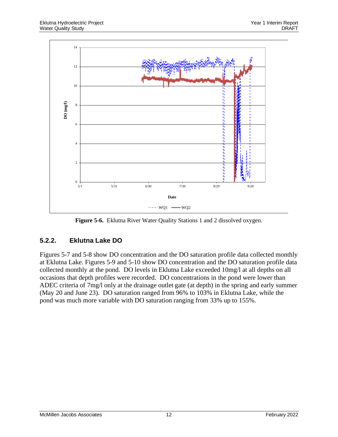

**Figure 5-6.** Eklutna River Water Quality Stations 1 and 2 dissolved oxygen.

## **5.2.2. Eklutna Lake DO**

Figures 5-7 and 5-8 show DO concentration and the DO saturation profile data collected monthly at Eklutna Lake. Figures 5-9 and 5-10 show DO concentration and the DO saturation profile data collected monthly at the pond. DO levels in Eklutna Lake exceeded 10mg/l at all depths on all occasions that depth profiles were recorded. DO concentrations in the pond were lower than ADEC criteria of 7mg/l only at the drainage outlet gate (at depth) in the spring and early summer (May 20 and June 23). DO saturation ranged from 96% to 103% in Eklutna Lake, while the pond was much more variable with DO saturation ranging from 33% up to 155%.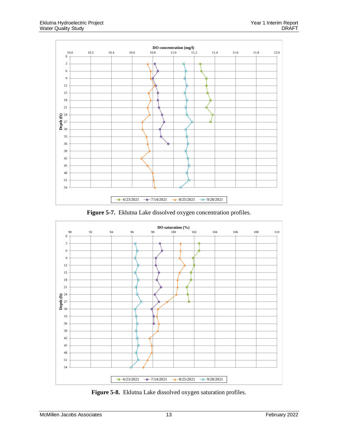

**Figure 5-7.** Eklutna Lake dissolved oxygen concentration profiles.



**Figure 5-8.** Eklutna Lake dissolved oxygen saturation profiles.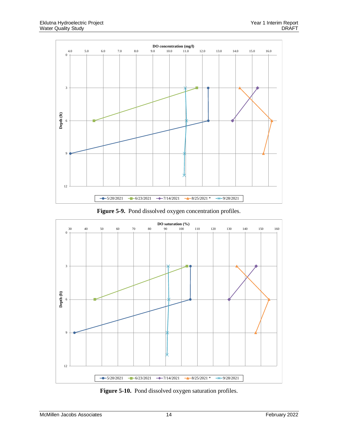

#### **Figure 5-9.** Pond dissolved oxygen concentration profiles.



#### **Figure 5-10.** Pond dissolved oxygen saturation profiles.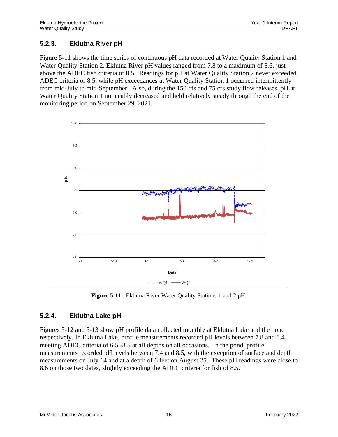#### **5.2.3. Eklutna River pH**

Figure 5-11 shows the time series of continuous pH data recorded at Water Quality Station 1 and Water Quality Station 2. Eklutna River pH values ranged from 7.8 to a maximum of 8.6, just above the ADEC fish criteria of 8.5. Readings for pH at Water Quality Station 2 never exceeded ADEC criteria of 8.5, while pH exceedances at Water Quality Station 1 occurred intermittently from mid-July to mid-September. Also, during the 150 cfs and 75 cfs study flow releases, pH at Water Quality Station 1 noticeably decreased and held relatively steady through the end of the monitoring period on September 29, 2021.



**Figure 5-11.** Eklutna River Water Quality Stations 1 and 2 pH.

## **5.2.4. Eklutna Lake pH**

Figures 5-12 and 5-13 show pH profile data collected monthly at Eklutna Lake and the pond respectively. In Eklutna Lake, profile measurements recorded pH levels between 7.8 and 8.4, meeting ADEC criteria of 6.5 -8.5 at all depths on all occasions. In the pond, profile measurements recorded pH levels between 7.4 and 8.5, with the exception of surface and depth measurements on July 14 and at a depth of 6 feet on August 25. These pH readings were close to 8.6 on those two dates, slightly exceeding the ADEC criteria for fish of 8.5.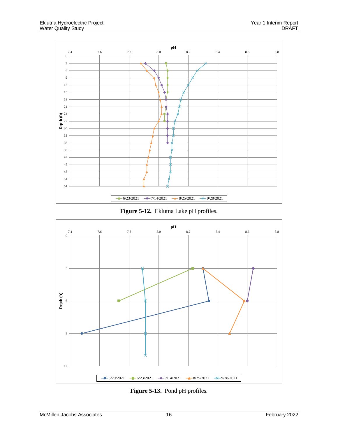

**Figure 5-12.** Eklutna Lake pH profiles.



**Figure 5-13.** Pond pH profiles.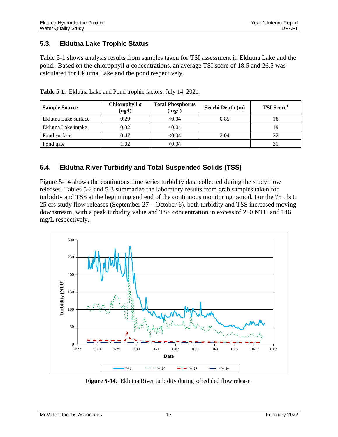#### **5.3. Eklutna Lake Trophic Status**

Table 5-1 shows analysis results from samples taken for TSI assessment in Eklutna Lake and the pond. Based on the chlorophyll *a* concentrations, an average TSI score of 18.5 and 26.5 was calculated for Eklutna Lake and the pond respectively.

| <b>Sample Source</b> | Chlorophyll a<br>(ug/l) | <b>Total Phosphorus</b><br>(mg/l) | Secchi Depth (m) | <b>TSI</b> Score <sup>1</sup> |
|----------------------|-------------------------|-----------------------------------|------------------|-------------------------------|
| Eklutna Lake surface | 0.29                    | < 0.04                            | 0.85             | ۱8                            |
| Eklutna Lake intake  | 0.32                    | < 0.04                            |                  | 19                            |
| Pond surface         | 0.47                    | < 0.04                            | 2.04             | 22                            |
| Pond gate            | .02                     | < 0.04                            |                  |                               |

**Table 5-1.** Eklutna Lake and Pond trophic factors, July 14, 2021.

#### **5.4. Eklutna River Turbidity and Total Suspended Solids (TSS)**

Figure 5-14 shows the continuous time series turbidity data collected during the study flow releases. Tables 5-2 and 5-3 summarize the laboratory results from grab samples taken for turbidity and TSS at the beginning and end of the continuous monitoring period. For the 75 cfs to 25 cfs study flow releases (September 27 – October 6), both turbidity and TSS increased moving downstream, with a peak turbidity value and TSS concentration in excess of 250 NTU and 146 mg/L respectively.



**Figure 5-14.** Eklutna River turbidity during scheduled flow release.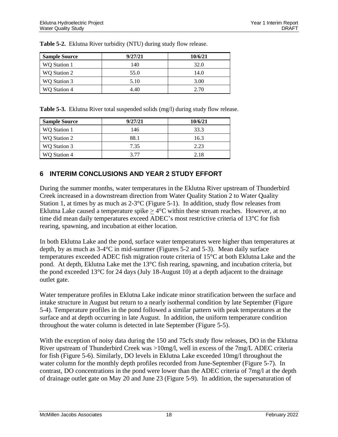| <b>Sample Source</b> | 9/27/21 | 10/6/21 |
|----------------------|---------|---------|
| <b>WQ</b> Station 1  | 140     | 32.0    |
| WQ Station 2         | 55.0    | 14.0    |
| WQ Station 3         | 5.10    | 3.00    |
| WO Station 4         | 4 40    | 2.70    |

**Table 5-2.** Eklutna River turbidity (NTU) during study flow release.

**Table 5-3.** Eklutna River total suspended solids (mg/l) during study flow release.

| <b>Sample Source</b> | 9/27/21 | 10/6/21 |
|----------------------|---------|---------|
| <b>WQ</b> Station 1  | 146     | 33.3    |
| WQ Station 2         | 88.1    | 16.3    |
| WO Station 3         | 7.35    | 2.23    |
| WQ Station 4         | 3.77    | 2.18    |

## **6 INTERIM CONCLUSIONS AND YEAR 2 STUDY EFFORT**

During the summer months, water temperatures in the Eklutna River upstream of Thunderbird Creek increased in a downstream direction from Water Quality Station 2 to Water Quality Station 1, at times by as much as 2-3°C (Figure 5-1). In addition, study flow releases from Eklutna Lake caused a temperature spike  $> 4^{\circ}$ C within these stream reaches. However, at no time did mean daily temperatures exceed ADEC's most restrictive criteria of 13°C for fish rearing, spawning, and incubation at either location.

In both Eklutna Lake and the pond, surface water temperatures were higher than temperatures at depth, by as much as 3-4°C in mid-summer (Figures 5-2 and 5-3). Mean daily surface temperatures exceeded ADEC fish migration route criteria of 15°C at both Eklutna Lake and the pond. At depth, Eklutna Lake met the 13°C fish rearing, spawning, and incubation criteria, but the pond exceeded 13°C for 24 days (July 18-August 10) at a depth adjacent to the drainage outlet gate.

Water temperature profiles in Eklutna Lake indicate minor stratification between the surface and intake structure in August but return to a nearly isothermal condition by late September (Figure 5-4). Temperature profiles in the pond followed a similar pattern with peak temperatures at the surface and at depth occurring in late August. In addition, the uniform temperature condition throughout the water column is detected in late September (Figure 5-5).

With the exception of noisy data during the 150 and 75cfs study flow releases, DO in the Eklutna River upstream of Thunderbird Creek was >10mg/l, well in excess of the 7mg/L ADEC criteria for fish (Figure 5-6). Similarly, DO levels in Eklutna Lake exceeded 10mg/l throughout the water column for the monthly depth profiles recorded from June-September (Figure 5-7). In contrast, DO concentrations in the pond were lower than the ADEC criteria of 7mg/l at the depth of drainage outlet gate on May 20 and June 23 (Figure 5-9). In addition, the supersaturation of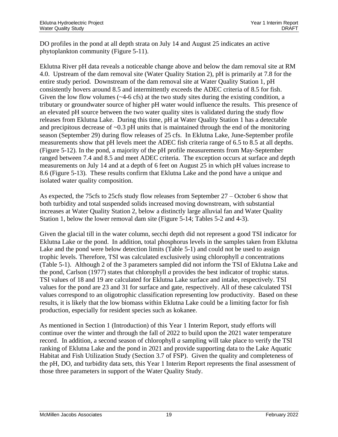DO profiles in the pond at all depth strata on July 14 and August 25 indicates an active phytoplankton community (Figure 5-11).

Eklutna River pH data reveals a noticeable change above and below the dam removal site at RM 4.0. Upstream of the dam removal site (Water Quality Station 2), pH is primarily at 7.8 for the entire study period. Downstream of the dam removal site at Water Quality Station 1, pH consistently hovers around 8.5 and intermittently exceeds the ADEC criteria of 8.5 for fish. Given the low flow volumes (~4-6 cfs) at the two study sites during the existing condition, a tributary or groundwater source of higher pH water would influence the results. This presence of an elevated pH source between the two water quality sites is validated during the study flow releases from Eklutna Lake. During this time, pH at Water Quality Station 1 has a detectable and precipitous decrease of  $\sim 0.3$  pH units that is maintained through the end of the monitoring season (September 29) during flow releases of 25 cfs. In Eklutna Lake, June-September profile measurements show that pH levels meet the ADEC fish criteria range of 6.5 to 8.5 at all depths. (Figure 5-12). In the pond, a majority of the pH profile measurements from May-September ranged between 7.4 and 8.5 and meet ADEC criteria. The exception occurs at surface and depth measurements on July 14 and at a depth of 6 feet on August 25 in which pH values increase to 8.6 (Figure 5-13). These results confirm that Eklutna Lake and the pond have a unique and isolated water quality composition.

As expected, the 75cfs to 25cfs study flow releases from September 27 – October 6 show that both turbidity and total suspended solids increased moving downstream, with substantial increases at Water Quality Station 2, below a distinctly large alluvial fan and Water Quality Station 1, below the lower removal dam site (Figure 5-14; Tables 5-2 and 4-3).

Given the glacial till in the water column, secchi depth did not represent a good TSI indicator for Eklutna Lake or the pond. In addition, total phosphorus levels in the samples taken from Eklutna Lake and the pond were below detection limits (Table 5-1) and could not be used to assign trophic levels. Therefore, TSI was calculated exclusively using chlorophyll *a* concentrations (Table 5-1). Although 2 of the 3 parameters sampled did not inform the TSI of Eklutna Lake and the pond, Carlson (1977) states that chlorophyll *a* provides the best indicator of trophic status. TSI values of 18 and 19 are calculated for Eklutna Lake surface and intake, respectively. TSI values for the pond are 23 and 31 for surface and gate, respectively. All of these calculated TSI values correspond to an oligotrophic classification representing low productivity. Based on these results, it is likely that the low biomass within Eklutna Lake could be a limiting factor for fish production, especially for resident species such as kokanee.

As mentioned in Section 1 (Introduction) of this Year 1 Interim Report, study efforts will continue over the winter and through the fall of 2022 to build upon the 2021 water temperature record. In addition, a second season of chlorophyll *a* sampling will take place to verify the TSI ranking of Eklutna Lake and the pond in 2021 and provide supporting data to the Lake Aquatic Habitat and Fish Utilization Study (Section 3.7 of FSP). Given the quality and completeness of the pH, DO, and turbidity data sets, this Year 1 Interim Report represents the final assessment of those three parameters in support of the Water Quality Study.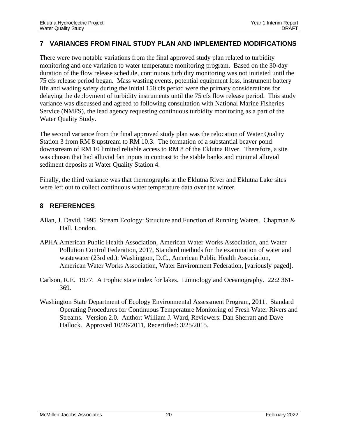#### **7 VARIANCES FROM FINAL STUDY PLAN AND IMPLEMENTED MODIFICATIONS**

There were two notable variations from the final approved study plan related to turbidity monitoring and one variation to water temperature monitoring program. Based on the 30-day duration of the flow release schedule, continuous turbidity monitoring was not initiated until the 75 cfs release period began. Mass wasting events, potential equipment loss, instrument battery life and wading safety during the initial 150 cfs period were the primary considerations for delaying the deployment of turbidity instruments until the 75 cfs flow release period. This study variance was discussed and agreed to following consultation with National Marine Fisheries Service (NMFS), the lead agency requesting continuous turbidity monitoring as a part of the Water Quality Study.

The second variance from the final approved study plan was the relocation of Water Quality Station 3 from RM 8 upstream to RM 10.3. The formation of a substantial beaver pond downstream of RM 10 limited reliable access to RM 8 of the Eklutna River. Therefore, a site was chosen that had alluvial fan inputs in contrast to the stable banks and minimal alluvial sediment deposits at Water Quality Station 4.

Finally, the third variance was that thermographs at the Eklutna River and Eklutna Lake sites were left out to collect continuous water temperature data over the winter.

## **8 REFERENCES**

- Allan, J. David. 1995. Stream Ecology: Structure and Function of Running Waters. Chapman & Hall, London.
- APHA American Public Health Association, American Water Works Association, and Water Pollution Control Federation, 2017, Standard methods for the examination of water and wastewater (23rd ed.): Washington, D.C., American Public Health Association, American Water Works Association, Water Environment Federation, [variously paged].
- Carlson, R.E. 1977. A trophic state index for lakes. Limnology and Oceanography. 22:2 361- 369.
- Washington State Department of Ecology Environmental Assessment Program, 2011. Standard Operating Procedures for Continuous Temperature Monitoring of Fresh Water Rivers and Streams. Version 2.0. Author: William J. Ward, Reviewers: Dan Sherratt and Dave Hallock. Approved 10/26/2011, Recertified: 3/25/2015.